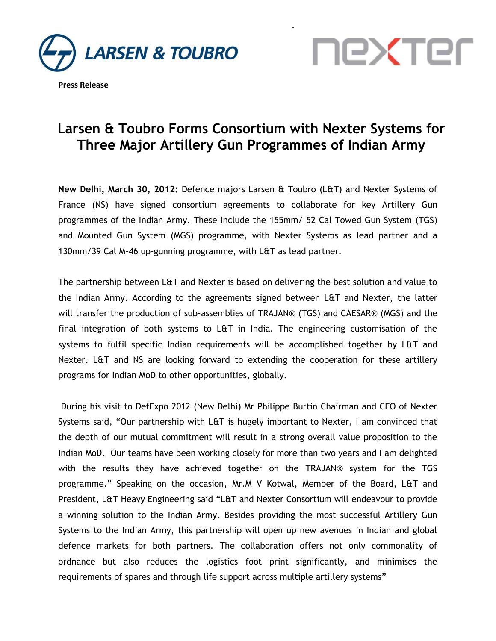





## **Larsen & Toubro Forms Consortium with Nexter Systems for Three Major Artillery Gun Programmes of Indian Army**

-

**New Delhi, March 30, 2012:** Defence majors Larsen & Toubro (L&T) and Nexter Systems of France (NS) have signed consortium agreements to collaborate for key Artillery Gun programmes of the Indian Army. These include the 155mm/ 52 Cal Towed Gun System (TGS) and Mounted Gun System (MGS) programme, with Nexter Systems as lead partner and a 130mm/39 Cal M-46 up-gunning programme, with L&T as lead partner.

The partnership between L&T and Nexter is based on delivering the best solution and value to the Indian Army. According to the agreements signed between L&T and Nexter, the latter will transfer the production of sub-assemblies of TRAJAN® (TGS) and CAESAR® (MGS) and the final integration of both systems to L&T in India. The engineering customisation of the systems to fulfil specific Indian requirements will be accomplished together by L&T and Nexter. L&T and NS are looking forward to extending the cooperation for these artillery programs for Indian MoD to other opportunities, globally.

During his visit to DefExpo 2012 (New Delhi) Mr Philippe Burtin Chairman and CEO of Nexter Systems said, "Our partnership with L&T is hugely important to Nexter, I am convinced that the depth of our mutual commitment will result in a strong overall value proposition to the Indian MoD. Our teams have been working closely for more than two years and I am delighted with the results they have achieved together on the TRAJAN® system for the TGS programme." Speaking on the occasion, Mr.M V Kotwal, Member of the Board, L&T and President, L&T Heavy Engineering said "L&T and Nexter Consortium will endeavour to provide a winning solution to the Indian Army. Besides providing the most successful Artillery Gun Systems to the Indian Army, this partnership will open up new avenues in Indian and global defence markets for both partners. The collaboration offers not only commonality of ordnance but also reduces the logistics foot print significantly, and minimises the requirements of spares and through life support across multiple artillery systems"